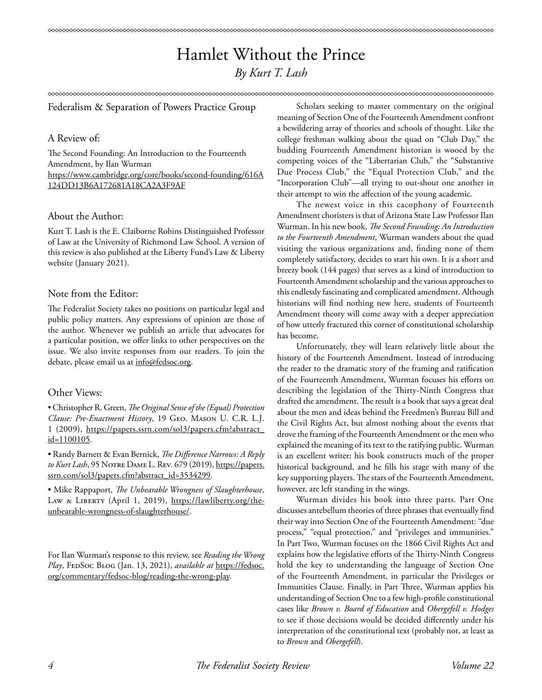# Hamlet Without the Prince *By Kurt T. Lash*

#### 

Federalism & Separation of Powers Practice Group

#### A Review of:

The Second Founding: An Introduction to the Fourteenth Amendment, by Ilan Wurman https://www.cambridge.org/core/books/second-founding/616A 124DD13B6A172681A18CA2A3F9AF

## About the Author:

Kurt T. Lash is the E. Claiborne Robins Distinguished Professor of Law at the University of Richmond Law School. A version of this review is also published at the Liberty Fund's Law & Liberty website (January 2021).

### Note from the Editor:

The Federalist Society takes no positions on particular legal and public policy matters. Any expressions of opinion are those of the author. Whenever we publish an article that advocates for a particular position, we offer links to other perspectives on the issue. We also invite responses from our readers. To join the debate, please email us at info@fedsoc.org.

## Other Views:

• Christopher R. Green, *The Original Sense of the (Equal) Protection Clause: Pre-Enactment History*, 19 Geo. Mason U. C.R. L.J. 1 (2009), https://papers.ssrn.com/sol3/papers.cfm?abstract\_ id=1100105.

• Randy Barnett & Evan Bernick, *The Difference Narrows: A Reply to Kurt Lash*, 95 Notre Dame L. Rev. 679 (2019), https://papers. ssrn.com/sol3/papers.cfm?abstract\_id=3534299.

• Mike Rappaport, *The Unbearable Wrongness of Slaughterhouse*, LAW & LIBERTY (April 1, 2019), https://lawliberty.org/theunbearable-wrongness-of-slaughterhouse/.

For Ilan Wurman's response to this review, see *Reading the Wrong*  Play, FEDSOC BLOG (Jan. 13, 2021), *available at* https://fedsoc. org/commentary/fedsoc-blog/reading-the-wrong-play.

Scholars seeking to master commentary on the original meaning of Section One of the Fourteenth Amendment confront a bewildering array of theories and schools of thought. Like the college freshman walking about the quad on "Club Day," the budding Fourteenth Amendment historian is wooed by the competing voices of the "Libertarian Club," the "Substantive Due Process Club," the "Equal Protection Club," and the "Incorporation Club"—all trying to out-shout one another in their attempt to win the affection of the young academic.

The newest voice in this cacophony of Fourteenth Amendment choristers is that of Arizona State Law Professor Ilan Wurman. In his new book, *The Second Founding: An Introduction to the Fourteenth Amendment*, Wurman wanders about the quad visiting the various organizations and, finding none of them completely satisfactory, decides to start his own. It is a short and breezy book (144 pages) that serves as a kind of introduction to Fourteenth Amendment scholarship and the various approaches to this endlessly fascinating and complicated amendment. Although historians will find nothing new here, students of Fourteenth Amendment theory will come away with a deeper appreciation of how utterly fractured this corner of constitutional scholarship has become.

Unfortunately, they will learn relatively little about the history of the Fourteenth Amendment. Instead of introducing the reader to the dramatic story of the framing and ratification of the Fourteenth Amendment, Wurman focuses his efforts on describing the legislation of the Thirty-Ninth Congress that drafted the amendment. The result is a book that says a great deal about the men and ideas behind the Freedmen's Bureau Bill and the Civil Rights Act, but almost nothing about the events that drove the framing of the Fourteenth Amendment or the men who explained the meaning of its text to the ratifying public. Wurman is an excellent writer; his book constructs much of the proper historical background, and he fills his stage with many of the key supporting players. The stars of the Fourteenth Amendment, however, are left standing in the wings.

Wurman divides his book into three parts. Part One discusses antebellum theories of three phrases that eventually find their way into Section One of the Fourteenth Amendment: "due process," "equal protection," and "privileges and immunities." In Part Two, Wurman focuses on the 1866 Civil Rights Act and explains how the legislative efforts of the Thirty-Ninth Congress hold the key to understanding the language of Section One of the Fourteenth Amendment, in particular the Privileges or Immunities Clause. Finally, in Part Three, Wurman applies his understanding of Section One to a few high-profile constitutional cases like *Brown v. Board of Education* and *Obergefell v. Hodges* to see if those decisions would be decided differently under his interpretation of the constitutional text (probably not, at least as to *Brown* and *Obergefell*).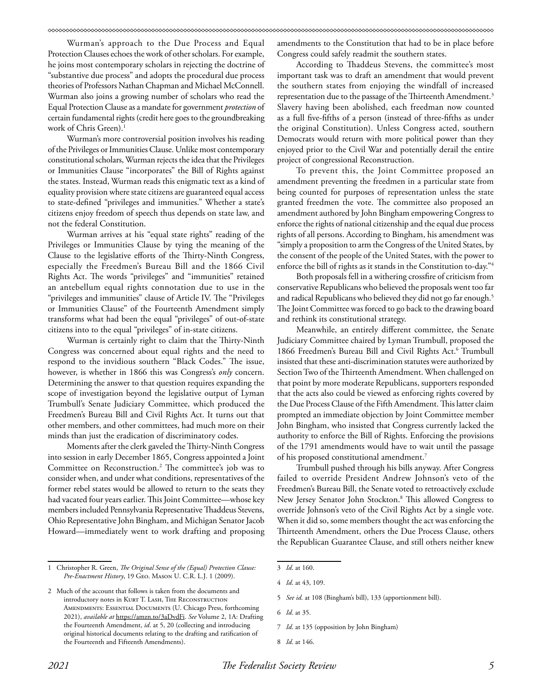Wurman's approach to the Due Process and Equal Protection Clauses echoes the work of other scholars. For example, he joins most contemporary scholars in rejecting the doctrine of "substantive due process" and adopts the procedural due process theories of Professors Nathan Chapman and Michael McConnell. Wurman also joins a growing number of scholars who read the Equal Protection Clause as a mandate for government *protection* of certain fundamental rights (credit here goes to the groundbreaking work of Chris Green).<sup>1</sup>

Wurman's more controversial position involves his reading of the Privileges or Immunities Clause. Unlike most contemporary constitutional scholars, Wurman rejects the idea that the Privileges or Immunities Clause "incorporates" the Bill of Rights against the states. Instead, Wurman reads this enigmatic text as a kind of equality provision where state citizens are guaranteed equal access to state-defined "privileges and immunities." Whether a state's citizens enjoy freedom of speech thus depends on state law, and not the federal Constitution.

Wurman arrives at his "equal state rights" reading of the Privileges or Immunities Clause by tying the meaning of the Clause to the legislative efforts of the Thirty-Ninth Congress, especially the Freedmen's Bureau Bill and the 1866 Civil Rights Act. The words "privileges" and "immunities" retained an antebellum equal rights connotation due to use in the "privileges and immunities" clause of Article IV. The "Privileges or Immunities Clause" of the Fourteenth Amendment simply transforms what had been the equal "privileges" of out-of-state citizens into to the equal "privileges" of in-state citizens.

Wurman is certainly right to claim that the Thirty-Ninth Congress was concerned about equal rights and the need to respond to the invidious southern "Black Codes." The issue, however, is whether in 1866 this was Congress's *only* concern. Determining the answer to that question requires expanding the scope of investigation beyond the legislative output of Lyman Trumbull's Senate Judiciary Committee, which produced the Freedmen's Bureau Bill and Civil Rights Act. It turns out that other members, and other committees, had much more on their minds than just the eradication of discriminatory codes.

Moments after the clerk gaveled the Thirty-Ninth Congress into session in early December 1865, Congress appointed a Joint Committee on Reconstruction.<sup>2</sup> The committee's job was to consider when, and under what conditions, representatives of the former rebel states would be allowed to return to the seats they had vacated four years earlier. This Joint Committee—whose key members included Pennsylvania Representative Thaddeus Stevens, Ohio Representative John Bingham, and Michigan Senator Jacob Howard—immediately went to work drafting and proposing

amendments to the Constitution that had to be in place before Congress could safely readmit the southern states.

According to Thaddeus Stevens, the committee's most important task was to draft an amendment that would prevent the southern states from enjoying the windfall of increased representation due to the passage of the Thirteenth Amendment.<sup>3</sup> Slavery having been abolished, each freedman now counted as a full five-fifths of a person (instead of three-fifths as under the original Constitution). Unless Congress acted, southern Democrats would return with more political power than they enjoyed prior to the Civil War and potentially derail the entire project of congressional Reconstruction.

To prevent this, the Joint Committee proposed an amendment preventing the freedmen in a particular state from being counted for purposes of representation unless the state granted freedmen the vote. The committee also proposed an amendment authored by John Bingham empowering Congress to enforce the rights of national citizenship and the equal due process rights of all persons. According to Bingham, his amendment was "simply a proposition to arm the Congress of the United States, by the consent of the people of the United States, with the power to enforce the bill of rights as it stands in the Constitution to-day."4

Both proposals fell in a withering crossfire of criticism from conservative Republicans who believed the proposals went too far and radical Republicans who believed they did not go far enough.<sup>5</sup> The Joint Committee was forced to go back to the drawing board and rethink its constitutional strategy.

Meanwhile, an entirely different committee, the Senate Judiciary Committee chaired by Lyman Trumbull, proposed the 1866 Freedmen's Bureau Bill and Civil Rights Act.<sup>6</sup> Trumbull insisted that these anti-discrimination statutes were authorized by Section Two of the Thirteenth Amendment. When challenged on that point by more moderate Republicans, supporters responded that the acts also could be viewed as enforcing rights covered by the Due Process Clause of the Fifth Amendment. This latter claim prompted an immediate objection by Joint Committee member John Bingham, who insisted that Congress currently lacked the authority to enforce the Bill of Rights. Enforcing the provisions of the 1791 amendments would have to wait until the passage of his proposed constitutional amendment.7

Trumbull pushed through his bills anyway. After Congress failed to override President Andrew Johnson's veto of the Freedmen's Bureau Bill, the Senate voted to retroactively exclude New Jersey Senator John Stockton.8 This allowed Congress to override Johnson's veto of the Civil Rights Act by a single vote. When it did so, some members thought the act was enforcing the Thirteenth Amendment, others the Due Process Clause, others the Republican Guarantee Clause, and still others neither knew

<sup>1</sup> Christopher R. Green, *The Original Sense of the (Equal) Protection Clause: Pre-Enactment History*, 19 Geo. Mason U. C.R. L.J. 1 (2009).

<sup>2</sup> Much of the account that follows is taken from the documents and introductory notes in KURT T. LASH, THE RECONSTRUCTION Amendments: Essential Documents (U. Chicago Press, forthcoming 2021), *available at* https://amzn.to/3aDvdFi. *See* Volume 2, 1A: Drafting the Fourteenth Amendment, *id*. at 5, 20 (collecting and introducing original historical documents relating to the drafting and ratification of the Fourteenth and Fifteenth Amendments).

<sup>3</sup> *Id*. at 160.

<sup>4</sup> *Id*. at 43, 109.

<sup>5</sup> *See id*. at 108 (Bingham's bill), 133 (apportionment bill).

<sup>6</sup> *Id*. at 35.

<sup>7</sup> *Id*. at 135 (opposition by John Bingham)

<sup>8</sup> *Id*. at 146.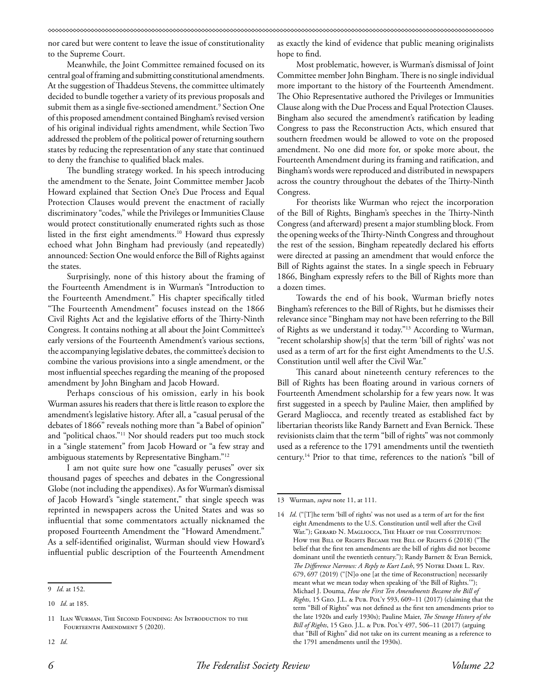nor cared but were content to leave the issue of constitutionality to the Supreme Court.

Meanwhile, the Joint Committee remained focused on its central goal of framing and submitting constitutional amendments. At the suggestion of Thaddeus Stevens, the committee ultimately decided to bundle together a variety of its previous proposals and submit them as a single five-sectioned amendment.9 Section One of this proposed amendment contained Bingham's revised version of his original individual rights amendment, while Section Two addressed the problem of the political power of returning southern states by reducing the representation of any state that continued to deny the franchise to qualified black males.

The bundling strategy worked. In his speech introducing the amendment to the Senate, Joint Committee member Jacob Howard explained that Section One's Due Process and Equal Protection Clauses would prevent the enactment of racially discriminatory "codes," while the Privileges or Immunities Clause would protect constitutionally enumerated rights such as those listed in the first eight amendments.10 Howard thus expressly echoed what John Bingham had previously (and repeatedly) announced: Section One would enforce the Bill of Rights against the states.

Surprisingly, none of this history about the framing of the Fourteenth Amendment is in Wurman's "Introduction to the Fourteenth Amendment." His chapter specifically titled "The Fourteenth Amendment" focuses instead on the 1866 Civil Rights Act and the legislative efforts of the Thirty-Ninth Congress. It contains nothing at all about the Joint Committee's early versions of the Fourteenth Amendment's various sections, the accompanying legislative debates, the committee's decision to combine the various provisions into a single amendment, or the most influential speeches regarding the meaning of the proposed amendment by John Bingham and Jacob Howard.

Perhaps conscious of his omission, early in his book Wurman assures his readers that there is little reason to explore the amendment's legislative history. After all, a "casual perusal of the debates of 1866" reveals nothing more than "a Babel of opinion" and "political chaos."11 Nor should readers put too much stock in a "single statement" from Jacob Howard or "a few stray and ambiguous statements by Representative Bingham."12

I am not quite sure how one "casually peruses" over six thousand pages of speeches and debates in the Congressional Globe (not including the appendixes). As for Wurman's dismissal of Jacob Howard's "single statement," that single speech was reprinted in newspapers across the United States and was so influential that some commentators actually nicknamed the proposed Fourteenth Amendment the "Howard Amendment." As a self-identified originalist, Wurman should view Howard's influential public description of the Fourteenth Amendment

12 *Id*.

as exactly the kind of evidence that public meaning originalists hope to find.

Most problematic, however, is Wurman's dismissal of Joint Committee member John Bingham. There is no single individual more important to the history of the Fourteenth Amendment. The Ohio Representative authored the Privileges or Immunities Clause along with the Due Process and Equal Protection Clauses. Bingham also secured the amendment's ratification by leading Congress to pass the Reconstruction Acts, which ensured that southern freedmen would be allowed to vote on the proposed amendment. No one did more for, or spoke more about, the Fourteenth Amendment during its framing and ratification, and Bingham's words were reproduced and distributed in newspapers across the country throughout the debates of the Thirty-Ninth Congress.

For theorists like Wurman who reject the incorporation of the Bill of Rights, Bingham's speeches in the Thirty-Ninth Congress (and afterward) present a major stumbling block. From the opening weeks of the Thirty-Ninth Congress and throughout the rest of the session, Bingham repeatedly declared his efforts were directed at passing an amendment that would enforce the Bill of Rights against the states. In a single speech in February 1866, Bingham expressly refers to the Bill of Rights more than a dozen times.

Towards the end of his book, Wurman briefly notes Bingham's references to the Bill of Rights, but he dismisses their relevance since "Bingham may not have been referring to the Bill of Rights as we understand it today."13 According to Wurman, "recent scholarship show[s] that the term 'bill of rights' was not used as a term of art for the first eight Amendments to the U.S. Constitution until well after the Civil War."

This canard about nineteenth century references to the Bill of Rights has been floating around in various corners of Fourteenth Amendment scholarship for a few years now. It was first suggested in a speech by Pauline Maier, then amplified by Gerard Magliocca, and recently treated as established fact by libertarian theorists like Randy Barnett and Evan Bernick. These revisionists claim that the term "bill of rights" was not commonly used as a reference to the 1791 amendments until the twentieth century.14 Prior to that time, references to the nation's "bill of

<sup>9</sup> *Id*. at 152.

<sup>10</sup> *Id*. at 185.

<sup>11</sup> Ilan Wurman, The Second Founding: An Introduction to the FOURTEENTH AMENDMENT 5 (2020).

<sup>13</sup> Wurman, *supra* note 11, at 111.

<sup>14</sup> *Id*. ("[T]he term 'bill of rights' was not used as a term of art for the first eight Amendments to the U.S. Constitution until well after the Civil War."); GERARD N. MAGLIOCCA, THE HEART OF THE CONSTITUTION: How the Bill of Rights Became the Bill of Rights 6 (2018) ("The belief that the first ten amendments are the bill of rights did not become dominant until the twentieth century."); Randy Barnett & Evan Bernick, *The Difference Narrows: A Reply to Kurt Lash*, 95 Notre Dame L. Rev. 679, 697 (2019) ("[N]o one [at the time of Reconstruction] necessarily meant what we mean today when speaking of 'the Bill of Rights.'"); Michael J. Douma, *How the First Ten Amendments Became the Bill of Rights*, 15 Geo. J.L. & Pub. Pol'y 593, 609–11 (2017) (claiming that the term "Bill of Rights" was not defined as the first ten amendments prior to the late 1920s and early 1930s); Pauline Maier, *The Strange History of the Bill of Rights*, 15 Geo. J.L. & Pub. Pol'y 497, 506–11 (2017) (arguing that "Bill of Rights" did not take on its current meaning as a reference to the 1791 amendments until the 1930s).